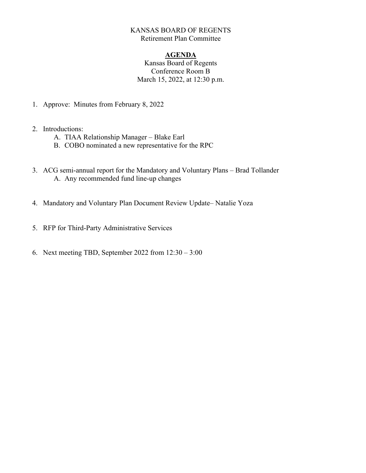## KANSAS BOARD OF REGENTS Retirement Plan Committee

## **AGENDA**

Kansas Board of Regents Conference Room B March 15, 2022, at 12:30 p.m.

- 1. Approve: Minutes from February 8, 2022
- 2. Introductions:
	- A. TIAA Relationship Manager Blake Earl
	- B. COBO nominated a new representative for the RPC
- 3. ACG semi-annual report for the Mandatory and Voluntary Plans Brad Tollander A. Any recommended fund line-up changes
- 4. Mandatory and Voluntary Plan Document Review Update– Natalie Yoza
- 5. RFP for Third-Party Administrative Services
- 6. Next meeting TBD, September 2022 from 12:30 3:00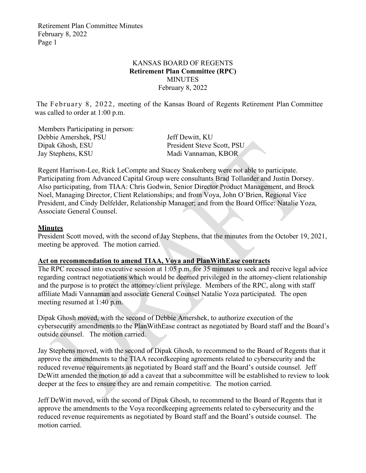Retirement Plan Committee Minutes February 8, 2022 Page 1

### KANSAS BOARD OF REGENTS **Retirement Plan Committee (RPC)** MINUTES February 8, 2022

The February 8, 2022, meeting of the Kansas Board of Regents Retirement Plan Committee was called to order at 1:00 p.m.

 Members Participating in person: Debbie Amershek, PSU Jeff Dewitt, KU Dipak Ghosh, ESU President Steve Scott, PSU Jay Stephens, KSU Madi Vannaman, KBOR

Regent Harrison-Lee, Rick LeCompte and Stacey Snakenberg were not able to participate. Participating from Advanced Capital Group were consultants Brad Tollander and Justin Dorsey. Also participating, from TIAA: Chris Godwin, Senior Director Product Management, and Brock Noel, Managing Director, Client Relationships; and from Voya, John O'Brien, Regional Vice President, and Cindy Delfelder, Relationship Manager; and from the Board Office: Natalie Yoza, Associate General Counsel.

#### **Minutes**

President Scott moved, with the second of Jay Stephens, that the minutes from the October 19, 2021, meeting be approved. The motion carried.

## **Act on recommendation to amend TIAA, Voya and PlanWithEase contracts**

The RPC recessed into executive session at 1:05 p.m. for 35 minutes to seek and receive legal advice regarding contract negotiations which would be deemed privileged in the attorney-client relationship and the purpose is to protect the attorney/client privilege. Members of the RPC, along with staff affiliate Madi Vannaman and associate General Counsel Natalie Yoza participated. The open meeting resumed at 1:40 p.m.

Dipak Ghosh moved, with the second of Debbie Amershek, to authorize execution of the cybersecurity amendments to the PlanWithEase contract as negotiated by Board staff and the Board's outside counsel. The motion carried.

Jay Stephens moved, with the second of Dipak Ghosh, to recommend to the Board of Regents that it approve the amendments to the TIAA recordkeeping agreements related to cybersecurity and the reduced revenue requirements as negotiated by Board staff and the Board's outside counsel. Jeff DeWitt amended the motion to add a caveat that a subcommittee will be established to review to look deeper at the fees to ensure they are and remain competitive. The motion carried.

Jeff DeWitt moved, with the second of Dipak Ghosh, to recommend to the Board of Regents that it approve the amendments to the Voya recordkeeping agreements related to cybersecurity and the reduced revenue requirements as negotiated by Board staff and the Board's outside counsel. The motion carried.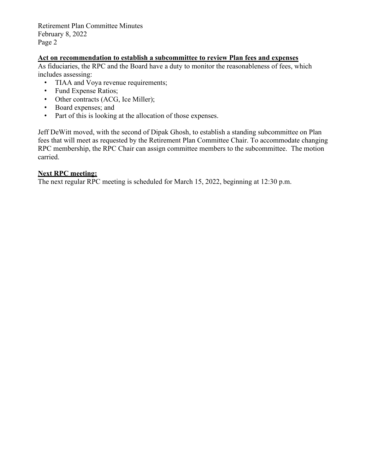Retirement Plan Committee Minutes February 8, 2022 Page 2

## **Act on recommendation to establish a subcommittee to review Plan fees and expenses**

As fiduciaries, the RPC and the Board have a duty to monitor the reasonableness of fees, which includes assessing:

- TIAA and Voya revenue requirements;
- Fund Expense Ratios;
- Other contracts (ACG, Ice Miller);
- Board expenses; and
- Part of this is looking at the allocation of those expenses.

Jeff DeWitt moved, with the second of Dipak Ghosh, to establish a standing subcommittee on Plan fees that will meet as requested by the Retirement Plan Committee Chair. To accommodate changing RPC membership, the RPC Chair can assign committee members to the subcommittee. The motion carried.

#### **Next RPC meeting:**

The next regular RPC meeting is scheduled for March 15, 2022, beginning at 12:30 p.m.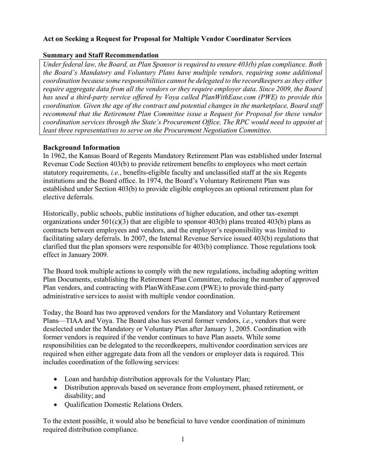# Act on Seeking a Request for Proposal for Multiple Vendor Coordinator Services

## Summary and Staff Recommendation

Under federal law, the Board, as Plan Sponsor is required to ensure 403(b) plan compliance. Both the Board's Mandatory and Voluntary Plans have multiple vendors, requiring some additional coordination because some responsibilities cannot be delegated to the recordkeepers as they either require aggregate data from all the vendors or they require employer data. Since 2009, the Board has used a third-party service offered by Voya called PlanWithEase.com (PWE) to provide this coordination. Given the age of the contract and potential changes in the marketplace, Board staff recommend that the Retirement Plan Committee issue a Request for Proposal for these vendor coordination services through the State's Procurement Office. The RPC would need to appoint at least three representatives to serve on the Procurement Negotiation Committee.

## Background Information

In 1962, the Kansas Board of Regents Mandatory Retirement Plan was established under Internal Revenue Code Section 403(b) to provide retirement benefits to employees who meet certain statutory requirements, i.e., benefits-eligible faculty and unclassified staff at the six Regents institutions and the Board office. In 1974, the Board's Voluntary Retirement Plan was established under Section 403(b) to provide eligible employees an optional retirement plan for elective deferrals.

Historically, public schools, public institutions of higher education, and other tax-exempt organizations under  $501(c)(3)$  that are eligible to sponsor  $403(b)$  plans treated  $403(b)$  plans as contracts between employees and vendors, and the employer's responsibility was limited to facilitating salary deferrals. In 2007, the Internal Revenue Service issued 403(b) regulations that clarified that the plan sponsors were responsible for 403(b) compliance. Those regulations took effect in January 2009.

The Board took multiple actions to comply with the new regulations, including adopting written Plan Documents, establishing the Retirement Plan Committee, reducing the number of approved Plan vendors, and contracting with PlanWithEase.com (PWE) to provide third-party administrative services to assist with multiple vendor coordination.

Today, the Board has two approved vendors for the Mandatory and Voluntary Retirement Plans—TIAA and Voya. The Board also has several former vendors, i.e., vendors that were deselected under the Mandatory or Voluntary Plan after January 1, 2005. Coordination with former vendors is required if the vendor continues to have Plan assets. While some responsibilities can be delegated to the recordkeepers, multivendor coordination services are required when either aggregate data from all the vendors or employer data is required. This includes coordination of the following services:

- Loan and hardship distribution approvals for the Voluntary Plan;
- Distribution approvals based on severance from employment, phased retirement, or disability; and
- Qualification Domestic Relations Orders.

To the extent possible, it would also be beneficial to have vendor coordination of minimum required distribution compliance.